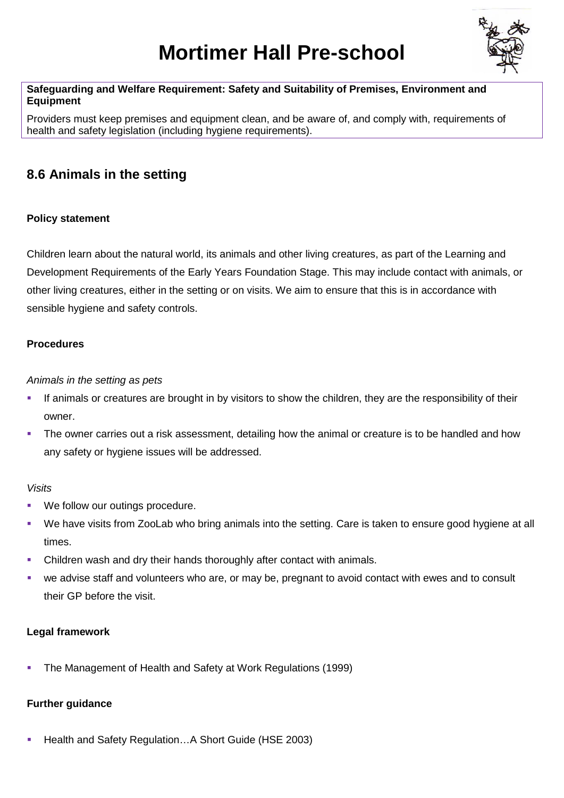# **Mortimer Hall Pre-school**



### **Safeguarding and Welfare Requirement: Safety and Suitability of Premises, Environment and Equipment**

Providers must keep premises and equipment clean, and be aware of, and comply with, requirements of health and safety legislation (including hygiene requirements).

# **8.6 Animals in the setting**

# **Policy statement**

Children learn about the natural world, its animals and other living creatures, as part of the Learning and Development Requirements of the Early Years Foundation Stage. This may include contact with animals, or other living creatures, either in the setting or on visits. We aim to ensure that this is in accordance with sensible hygiene and safety controls.

#### **Procedures**

#### *Animals in the setting as pets*

- If animals or creatures are brought in by visitors to show the children, they are the responsibility of their owner.
- The owner carries out a risk assessment, detailing how the animal or creature is to be handled and how any safety or hygiene issues will be addressed.

#### *Visits*

- We follow our outings procedure.
- We have visits from ZooLab who bring animals into the setting. Care is taken to ensure good hygiene at all times.
- Children wash and dry their hands thoroughly after contact with animals.
- we advise staff and volunteers who are, or may be, pregnant to avoid contact with ewes and to consult their GP before the visit.

# **Legal framework**

The Management of Health and Safety at Work Regulations (1999)

# **Further guidance**

Health and Safety Regulation…A Short Guide (HSE 2003)